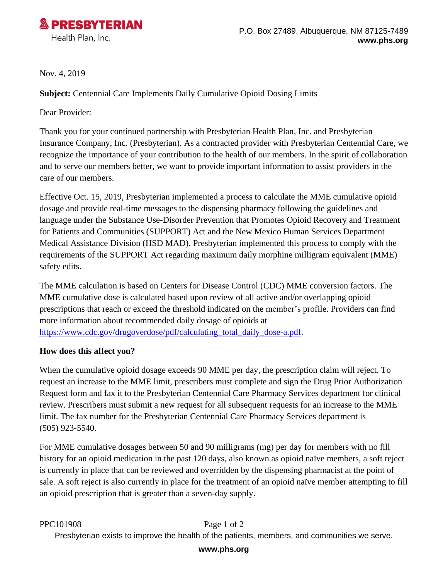

Nov. 4, 2019

**Subject:** Centennial Care Implements Daily Cumulative Opioid Dosing Limits

Dear Provider:

Thank you for your continued partnership with Presbyterian Health Plan, Inc. and Presbyterian Insurance Company, Inc. (Presbyterian). As a contracted provider with Presbyterian Centennial Care, we recognize the importance of your contribution to the health of our members. In the spirit of collaboration and to serve our members better, we want to provide important information to assist providers in the care of our members.

Effective Oct. 15, 2019, Presbyterian implemented a process to calculate the MME cumulative opioid dosage and provide real-time messages to the dispensing pharmacy following the guidelines and language under the Substance Use-Disorder Prevention that Promotes Opioid Recovery and Treatment for Patients and Communities (SUPPORT) Act and the New Mexico Human Services Department Medical Assistance Division (HSD MAD). Presbyterian implemented this process to comply with the requirements of the SUPPORT Act regarding maximum daily morphine milligram equivalent (MME) safety edits.

The MME calculation is based on Centers for Disease Control (CDC) MME conversion factors. The MME cumulative dose is calculated based upon review of all active and/or overlapping opioid prescriptions that reach or exceed the threshold indicated on the member's profile. Providers can find more information about recommended daily dosage of opioids at [https://www.cdc.gov/drugoverdose/pdf/calculating\\_total\\_daily\\_dose-a.pdf.](https://www.cdc.gov/drugoverdose/pdf/calculating_total_daily_dose-a.pdf)

## **How does this affect you?**

When the cumulative opioid dosage exceeds 90 MME per day, the prescription claim will reject. To request an increase to the MME limit, prescribers must complete and sign the Drug Prior Authorization Request form and fax it to the Presbyterian Centennial Care Pharmacy Services department for clinical review. Prescribers must submit a new request for all subsequent requests for an increase to the MME limit. The fax number for the Presbyterian Centennial Care Pharmacy Services department is (505) 923-5540.

For MME cumulative dosages between 50 and 90 milligrams (mg) per day for members with no fill history for an opioid medication in the past 120 days, also known as opioid naïve members, a soft reject is currently in place that can be reviewed and overridden by the dispensing pharmacist at the point of sale. A soft reject is also currently in place for the treatment of an opioid naïve member attempting to fill an opioid prescription that is greater than a seven-day supply.

PPC101908 Page 1 of 2

Presbyterian exists to improve the health of the patients, members, and communities we serve.

## **[www.phs.org](http://www.phs.org)**